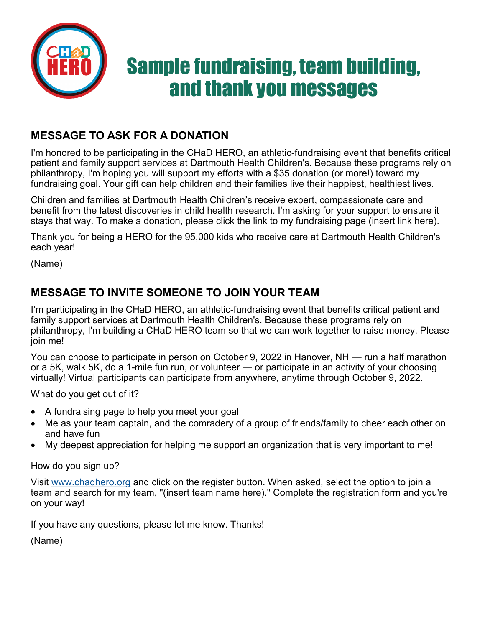

## **MESSAGE TO ASK FOR A DONATION**

I'm honored to be participating in the CHaD HERO, an athletic-fundraising event that benefits critical patient and family support services at Dartmouth Health Children's. Because these programs rely on philanthropy, I'm hoping you will support my efforts with a \$35 donation (or more!) toward my fundraising goal. Your gift can help children and their families live their happiest, healthiest lives.

Children and families at Dartmouth Health Children's receive expert, compassionate care and benefit from the latest discoveries in child health research. I'm asking for your support to ensure it stays that way. To make a donation, please click the link to my fundraising page (insert link here).

Thank you for being a HERO for the 95,000 kids who receive care at Dartmouth Health Children's each year!

(Name)

## **MESSAGE TO INVITE SOMEONE TO JOIN YOUR TEAM**

I'm participating in the CHaD HERO, an athletic-fundraising event that benefits critical patient and family support services at Dartmouth Health Children's. Because these programs rely on philanthropy, I'm building a CHaD HERO team so that we can work together to raise money. Please join me!

You can choose to participate in person on October 9, 2022 in Hanover, NH — run a half marathon or a 5K, walk 5K, do a 1-mile fun run, or volunteer — or participate in an activity of your choosing virtually! Virtual participants can participate from anywhere, anytime through October 9, 2022.

What do you get out of it?

- A fundraising page to help you meet your goal
- Me as your team captain, and the comradery of a group of friends/family to cheer each other on and have fun
- My deepest appreciation for helping me support an organization that is very important to me!

How do you sign up?

Visit [www.chadhero.org](http://www.chadhero.org) and click on the register button. When asked, select the option to join a team and search for my team, "(insert team name here)." Complete the registration form and you're on your way!

If you have any questions, please let me know. Thanks!

(Name)